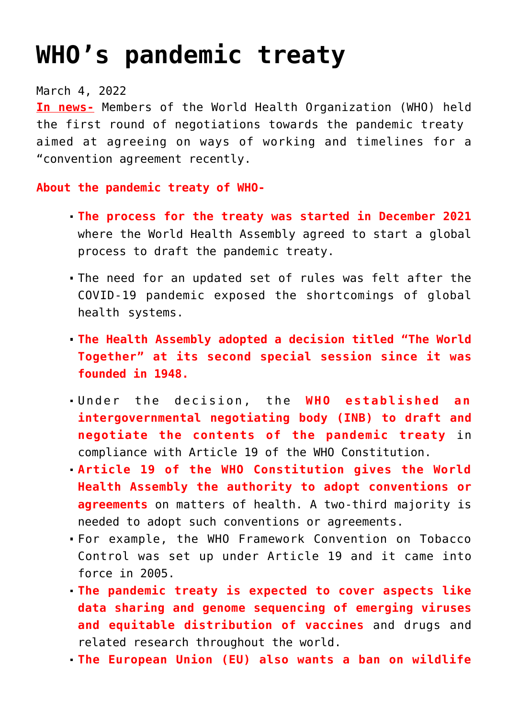## **[WHO's pandemic treaty](https://journalsofindia.com/whos-pandemic-treaty/)**

March 4, 2022

**In news-** Members of the World Health Organization (WHO) held the first round of negotiations towards the pandemic treaty aimed at agreeing on ways of working and timelines for a "convention agreement recently.

**About the pandemic treaty of WHO-**

- **The process for the treaty was started in December 2021** where the World Health Assembly agreed to start a global process to draft the pandemic treaty.
- The need for an updated set of rules was felt after the COVID-19 pandemic exposed the shortcomings of global health systems.
- **The Health Assembly adopted a decision titled "The World Together" at its second special session since it was founded in 1948.**
- Under the decision, the **WHO established an intergovernmental negotiating body (INB) to draft and negotiate the contents of the pandemic treaty** in compliance with Article 19 of the WHO Constitution.
- **Article 19 of the WHO Constitution gives the World Health Assembly the authority to adopt conventions or agreements** on matters of health. A two-third majority is needed to adopt such conventions or agreements.
- For example, the WHO Framework Convention on Tobacco Control was set up under Article 19 and it came into force in 2005.
- **The pandemic treaty is expected to cover aspects like data sharing and genome sequencing of emerging viruses and equitable distribution of vaccines** and drugs and related research throughout the world.
- **The European Union (EU) also wants a ban on wildlife**